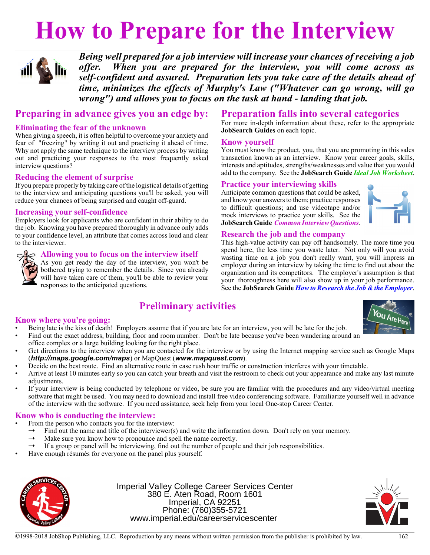# **How to Prepare for the Interview**



*Being well prepared for a job interview will increase your chances of receiving a job offer. When you are prepared for the interview, you will come across as self-confident and assured. Preparation lets you take care of the details ahead of time, minimizes the effects of Murphy's Law ("Whatever can go wrong, will go wrong") and allows you to focus on the task at hand - landing that job.*

### **Preparing in advance gives you an edge by:**

#### **Eliminating the fear of the unknown**

When giving a speech, it is often helpful to overcome your anxiety and fear of "freezing" by writing it out and practicing it ahead of time. Why not apply the same technique to the interview process by writing out and practicing your responses to the most frequently asked interview questions?

#### **Reducing the element of surprise**

If you prepare properly by taking care ofthe logistical details of getting to the interview and anticipating questions you'll be asked, you will reduce your chances of being surprised and caught off-guard.

#### **Increasing your self-confidence**

Employers look for applicants who are confident in their ability to do the job. Knowing you have prepared thoroughly in advance only adds to your confidence level, an attribute that comes across loud and clear to the interviewer.



#### **Allowing you to focus on the interview itself**

As you get ready the day of the interview, you won't be bothered trying to remember the details. Since you already will have taken care of them, you'll be able to review your responses to the anticipated questions.

## **Preparation falls into several categories**

For more in-depth information about these, refer to the appropriate **JobSearch Guides** on each topic.

#### **Know yourself**

You must know the product, you, that you are promoting in this sales transaction known as an interview. Know your career goals, skills, interests and aptitudes, strengths/weaknesses and value that you would add to the company. See the **JobSearch Guide** *Ideal Job Worksheet*.

#### **Practice your interviewing skills**

Anticipate common questions that could be asked, and knowyour answers to them; practice responses to difficult questions; and use videotape and/or mock interviews to practice your skills. See the **JobSearch Guide** *Common Interview Questions*.



#### **Research the job and the company**

This high-value activity can pay off handsomely. The more time you spend here, the less time you waste later. Not only will you avoid wasting time on a job you don't really want, you will impress an employer during an interview by taking the time to find out about the organization and its competitors. The employer's assumption is that your thoroughness here will also show up in your job performance. See the **JobSearch Guide** *How to Research the Job & the Employer*.

## **Preliminary activities**

#### **Know where you're going:**

• Being late is the kiss of death! Employers assume that if you are late for an interview, you will be late for the job.



- Find out the exact address, building, floor and room number. Don't be late because you've been wandering around an office complex or a large building looking for the right place.
- Get directions to the interview when you are contacted for the interview or by using the Internet mapping service such as Google Maps (*http://maps.google.com/maps*) or MapQuest (*www.mapquest.com*).
- Decide on the best route. Find an alternative route in case rush hour traffic or construction interferes with your timetable.
- Arrive at least 10 minutes early so you can catch your breath and visit the restroom to check out your appearance and make any last minute adjustments.
- If your interview is being conducted by telephone or video, be sure you are familiar with the procedures and any video/virtual meeting software that might be used. You may need to download and install free video conferencing software. Familiarize yourself well in advance of the interview with the software. If you need assistance, seek help from your local One-stop Career Center.

#### **Know who is conducting the interview:**

- From the person who contacts you for the interview:
- $\rightarrow$  Find out the name and title of the interviewer(s) and write the information down. Don't rely on your memory.<br>  $\rightarrow$  Make sure you know how to pronounce and spell the name correctly.
- Make sure you know how to pronounce and spell the name correctly.
- $\rightarrow$  If a group or panel will be interviewing, find out the number of people and their job responsibilities.
- Have enough résumés for everyone on the panel plus yourself.



Imperial Valley College Career Services Center 380 E. Aten Road, Room 1601 Imperial, CA 92251 Phone: (760)355-5721 www.imperial.edu/careerservicescenter